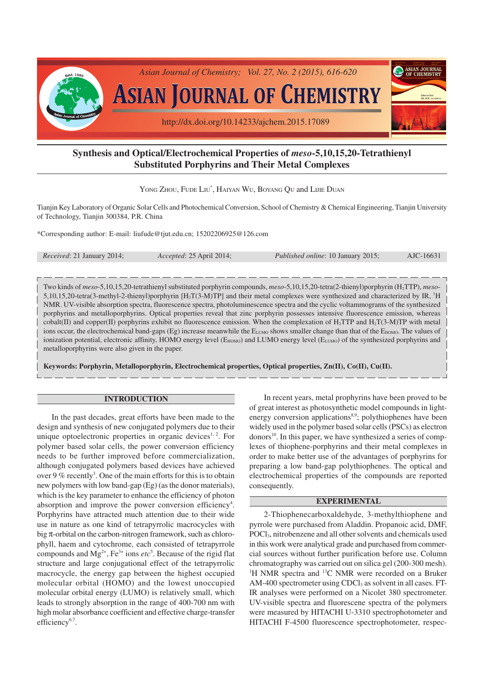

# **Synthesis and Optical/Electrochemical Properties of** *meso***-5,10,15,20-Tetrathienyl Substituted Porphyrins and Their Metal Complexes**

YONG ZHOU, FUDE LIU<sup>\*</sup>, HAIYAN WU, BOYANG QU and LIJIE DUAN

Tianjin Key Laboratory of Organic Solar Cells and Photochemical Conversion, School of Chemistry & Chemical Engineering, Tianjin University of Technology, Tianjin 300384, P.R. China

\*Corresponding author: E-mail: liufude@tjut.edu.cn; 15202206925@126.com

| <i>Received: 21 January 2014;</i> | Accepted: 25 April 2014; | <i>Published online: 10 January 2015;</i> | AJC-16631 |
|-----------------------------------|--------------------------|-------------------------------------------|-----------|
|-----------------------------------|--------------------------|-------------------------------------------|-----------|

Two kinds of *meso*-5,10,15,20-tetrathienyl substituted porphyrin compounds, *meso*-5,10,15,20-tetra(2-thienyl)porphyrin (H2TTP), *meso*-5,10,15,20-tetra(3-methyl-2-thienyl)porphyrin  $[H_2T(3-M)TP]$  and their metal complexes were synthesized and characterized by IR,  $^1H$ NMR. UV-visible absorption spectra, fluorescence spectra, photoluminescence spectra and the cyclic voltammograms of the synthesized porphyrins and metalloporphyrins. Optical properties reveal that zinc porphyrin possesses intensive fluorescence emission, whereas cobalt(II) and copper(II) porphyrins exhibit no fluorescence emission. When the complexation of  $H_2TTP$  and  $H_2T(3-M)TP$  with metal ions occur, the electrochemical band-gaps (Eg) increase meanwhile the E<sub>LUMO</sub> shows smaller change than that of the E<sub>HOMO</sub>. The values of ionization potential, electronic affinity, HOMO energy level ( $E_{HOMO}$ ) and LUMO energy level ( $E_{LUMO}$ ) of the synthesized porphyrins and metalloporphyrins were also given in the paper.

**Keywords: Porphyrin, Metalloporphyrin, Electrochemical properties, Optical properties, Zn(II), Co(II), Cu(II).**

### **INTRODUCTION**

In the past decades, great efforts have been made to the design and synthesis of new conjugated polymers due to their unique optoelectronic properties in organic devices<sup>1, 2</sup>. For polymer based solar cells, the power conversion efficiency needs to be further improved before commercialization, although conjugated polymers based devices have achieved over 9 % recently<sup>3</sup>. One of the main efforts for this is to obtain new polymers with low band-gap (Eg) (as the donor materials), which is the key parameter to enhance the efficiency of photon absorption and improve the power conversion efficiency<sup>4</sup>. Porphyrins have attracted much attention due to their wide use in nature as one kind of tetrapyrrolic macrocycles with big π-orbital on the carbon-nitrogen framework, such as chlorophyll, haem and cytochrome, each consisted of tetrapyrrole compounds and  $Mg^{2+}$ ,  $Fe^{3+}$  ions  $etc^{5}$ . Because of the rigid flat structure and large conjugational effect of the tetrapyrrolic macrocycle, the energy gap between the highest occupied molecular orbital (HOMO) and the lowest unoccupied molecular orbital energy (LUMO) is relatively small, which leads to strongly absorption in the range of 400-700 nm with high molar absorbance coefficient and effective charge-transfer efficiency<sup>6,7</sup>.

In recent years, metal prophyrins have been proved to be of great interest as photosynthetic model compounds in lightenergy conversion applications<sup>8,9</sup>; polythiophenes have been widely used in the polymer based solar cells (PSCs) as electron donors 10. In this paper, we have synthesized a series of complexes of thiophene-porphyrins and their metal complexes in order to make better use of the advantages of porphyrins for preparing a low band-gap polythiophenes. The optical and electrochemical properties of the compounds are reported consequently.

#### **EXPERIMENTAL**

2-Thiophenecarboxaldehyde, 3-methylthiophene and pyrrole were purchased from Aladdin. Propanoic acid, DMF, POCl3, nitrobenzene and all other solvents and chemicals used in this work were analytical grade and purchased from commercial sources without further purification before use. Column chromatography was carried out on silica gel (200-300 mesh). <sup>1</sup>H NMR spectra and <sup>13</sup>C NMR were recorded on a Bruker AM-400 spectrometer using CDCl<sub>3</sub> as solvent in all cases. FT-IR analyses were performed on a Nicolet 380 spectrometer. UV-visible spectra and fluorescene spectra of the polymers were measured by HITACHI U-3310 spectrophotometer and HITACHI F-4500 fluorescence spectrophotometer, respec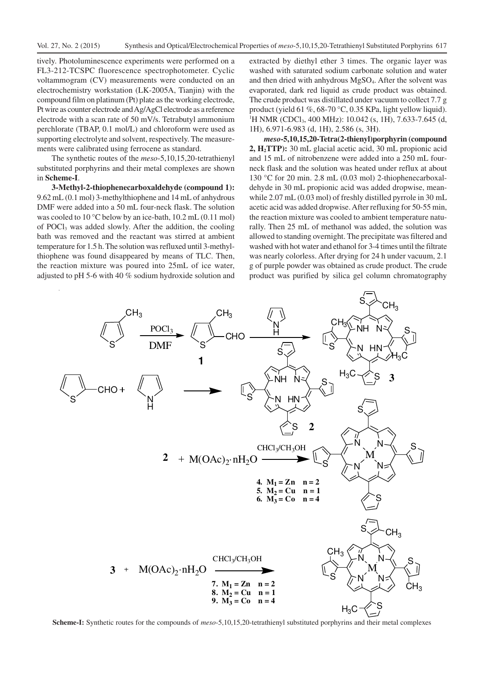tively. Photoluminescence experiments were performed on a FL3-212-TCSPC fluorescence spectrophotometer. Cyclic voltammogram (CV) measurements were conducted on an electrochemistry workstation (LK-2005A, Tianjin) with the compound film on platinum (Pt) plate as the working electrode, Pt wire as counter electrode and Ag/AgCl electrode as a reference electrode with a scan rate of 50 mV/s. Tetrabutyl ammonium perchlorate (TBAP, 0.1 mol/L) and chloroform were used as supporting electrolyte and solvent, respectively. The measurements were calibrated using ferrocene as standard.

The synthetic routes of the *meso*-5,10,15,20-tetrathienyl substituted porphyrins and their metal complexes are shown in **Scheme-I**.

**3-Methyl-2-thiophenecarboxaldehyde (compound 1):** 9.62 mL (0.1 mol) 3-methylthiophene and 14 mL of anhydrous DMF were added into a 50 mL four-neck flask. The solution was cooled to 10 °C below by an ice-bath, 10.2 mL (0.11 mol) of POCl3 was added slowly. After the addition, the cooling bath was removed and the reactant was stirred at ambient temperature for 1.5 h. The solution was refluxed until 3-methylthiophene was found disappeared by means of TLC. Then, the reaction mixture was poured into 25mL of ice water, adjusted to pH 5-6 with 40 % sodium hydroxide solution and extracted by diethyl ether 3 times. The organic layer was washed with saturated sodium carbonate solution and water and then dried with anhydrous MgSO4. After the solvent was evaporated, dark red liquid as crude product was obtained. The crude product was distillated under vacuum to collect 7.7 g product (yield 61 %, 68-70 °C, 0.35 KPa, light yellow liquid). <sup>1</sup>H NMR (CDCl<sub>3</sub>, 400 MHz): 10.042 (s, 1H), 7.633-7.645 (d, 1H), 6.971-6.983 (d, 1H), 2.586 (s, 3H).

*meso***-5,10,15,20-Tetra(2-thienyl)porphyrin (compound 2, H2TTP):** 30 mL glacial acetic acid, 30 mL propionic acid and 15 mL of nitrobenzene were added into a 250 mL fourneck flask and the solution was heated under reflux at about 130 °C for 20 min. 2.8 mL (0.03 mol) 2-thiophenecarboxaldehyde in 30 mL propionic acid was added dropwise, meanwhile 2.07 mL (0.03 mol) of freshly distilled pyrrole in 30 mL acetic acid was added dropwise. After refluxing for 50-55 min, the reaction mixture was cooled to ambient temperature naturally. Then 25 mL of methanol was added, the solution was allowed to standing overnight. The precipitate was filtered and washed with hot water and ethanol for 3-4 times until the filtrate was nearly colorless. After drying for 24 h under vacuum, 2.1 g of purple powder was obtained as crude product. The crude product was purified by silica gel column chromatography



**Scheme-I:** Synthetic routes for the compounds of *meso*-5,10,15,20-tetrathienyl substituted porphyrins and their metal complexes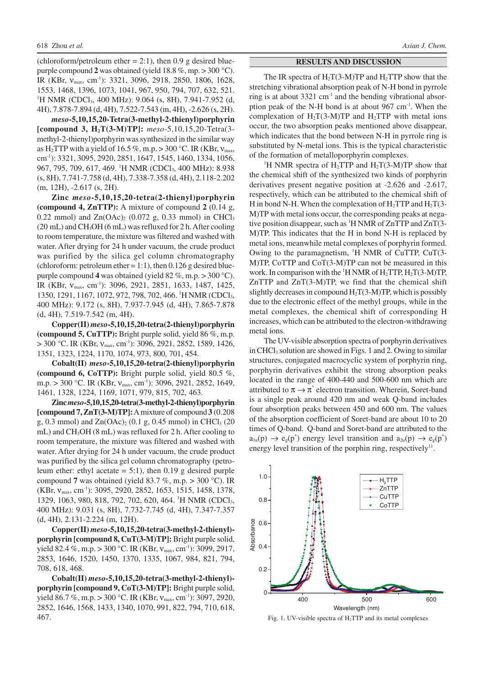(chloroform/petroleum ether  $= 2:1$ ), then 0.9 g desired bluepurple compound **2** was obtained (yield 18.8 %, mp. > 300 °C). IR (KBr, ν<sub>max</sub>, cm<sup>-1</sup>): 3321, 3096, 2918, 2850, 1806, 1628, 1553, 1468, 1396, 1073, 1041, 967, 950, 794, 707, 632, 521. <sup>1</sup>H NMR (CDCl<sub>3</sub>, 400 MHz): 9.064 (s, 8H), 7.941-7.952 (d, 4H), 7.878-7.894 (d, 4H), 7.522-7.543 (m, 4H), -2.626 (s, 2H).

*meso***-5,10,15,20-Tetra(3-methyl-2-thienyl)porphyrin [compound 3, H2T(3-M)TP]:** *meso*-5,10,15,20-Tetra(3 methyl-2-thienyl)porphyrin was synthesized in the similar way as H<sub>2</sub>TTP with a yield of 16.5 %, m.p. > 300 °C. IR (KBr,  $v_{\text{max}}$ , cm-1): 3321, 3095, 2920, 2851, 1647, 1545, 1460, 1334, 1056, 967, 795, 709, 617, 469. <sup>1</sup>H NMR (CDCl<sub>3</sub>, 400 MHz): 8.938 (s, 8H), 7.741-7.758 (d, 4H), 7.338-7.358 (d, 4H), 2.118-2.202 (m, 12H), -2.617 (s, 2H).

**Zinc** *meso***-5,10,15,20-tetra(2-thienyl)porphyrin (compound 4, ZnTTP):** A mixture of compound **2** (0.14 g, 0.22 mmol) and  $Zn(OAc)_{2}$  (0.072 g, 0.33 mmol) in CHCl<sub>3</sub> (20 mL) and CH<sub>3</sub>OH (6 mL) was refluxed for 2 h. After cooling to room temperature, the mixture was filtered and washed with water. After drying for 24 h under vacuum, the crude product was purified by the silica gel column chromatography (chloroform: petroleum ether = 1:1), then  $0.126$  g desired bluepurple compound **4** was obtained (yield 82 %, m.p. > 300 °C). IR (KBr,  $V_{\text{max}}$ , cm<sup>-1</sup>): 3096, 2921, 2851, 1633, 1487, 1425, 1350, 1291, 1167, 1072, 972, 798, 702, 466. <sup>1</sup>H NMR (CDCl<sub>3</sub>, 400 MHz): 9.172 (s, 8H), 7.937-7.945 (d, 4H), 7.865-7.878 (d, 4H), 7.519-7.542 (m, 4H).

**Copper(II)** *meso***-5,10,15,20-tetra(2-thienyl)porphyrin (compound 5, CuTTP):** Bright purple solid, yield 86 %, m.p.  $>$  300 °C. IR (KBr,  $v_{\text{max}}$ , cm<sup>-1</sup>): 3096, 2921, 2852, 1589, 1426, 1351, 1323, 1224, 1170, 1074, 973, 800, 701, 454.

**Cobalt(II)** *meso***-5,10,15,20-tetra(2-thienyl)porphyrin (compound 6, CoTTP):** Bright purple solid, yield 80.5 %, m.p. > 300 °C. IR (KBr,  $v_{\text{max}}$ , cm<sup>-1</sup>): 3096, 2921, 2852, 1649, 1461, 1328, 1224, 1169, 1071, 979, 815, 702, 463.

**Zinc** *meso***-5,10,15,20-tetra(3-methyl-2-thienyl)porphyrin [compound 7, ZnT(3-M)TP]:**A mixture of compound **3** (0.208 g, 0.3 mmol) and  $Zn(OAc)_{2}$  (0.1 g, 0.45 mmol) in CHCl<sub>3</sub> (20 mL) and CH<sub>3</sub>OH (8 mL) was refluxed for 2 h. After cooling to room temperature, the mixture was filtered and washed with water. After drying for 24 h under vacuum, the crude product was purified by the silica gel column chromatography (petroleum ether: ethyl acetate  $= 5:1$ ), then 0.19 g desired purple compound **7** was obtained (yield 83.7 %, m.p.  $> 300$  °C). IR  $(KBr, V_{max}, cm^{-1})$ : 3095, 2920, 2852, 1653, 1515, 1458, 1378, 1329, 1063, 980, 818, 792, 702, 620, 464. <sup>1</sup>H NMR (CDCl3, 400 MHz): 9.031 (s, 8H), 7.732-7.745 (d, 4H), 7.347-7.357 (d, 4H), 2.131-2.224 (m, 12H).

**Copper(II)** *meso***-5,10,15,20-tetra(3-methyl-2-thienyl) porphyrin [compound 8, CuT(3-M)TP]:** Bright purple solid, yield 82.4 %, m.p. > 300 °C. IR (KBr,  $v_{\text{max}}$ , cm<sup>-1</sup>): 3099, 2917, 2853, 1646, 1520, 1450, 1370, 1335, 1067, 984, 821, 794, 708, 618, 468.

**Cobalt(II)** *meso***-5,10,15,20-tetra(3-methyl-2-thienyl) porphyrin [compound 9, CoT(3-M)TP]:** Bright purple solid, yield 86.7 %, m.p. > 300 °C. IR (KBr,  $v_{\text{max}}$ , cm<sup>-1</sup>): 3097, 2920, 2852, 1646, 1568, 1433, 1340, 1070, 991, 822, 794, 710, 618, 467.

#### **RESULTS AND DISCUSSION**

The IR spectra of  $H_2T(3-M)TP$  and  $H_2TTP$  show that the stretching vibrational absorption peak of N-H bond in pyrrole ring is at about  $3321 \text{ cm}^{-1}$  and the bending vibrational absorption peak of the N-H bond is at about 967 cm<sup>-1</sup>. When the complexation of  $H_2T(3-M)TP$  and  $H_2TTP$  with metal ions occur, the two absorption peaks mentioned above disappear, which indicates that the bond between N-H in pyrrole ring is substituted by N-metal ions. This is the typical characteristic of the formation of metalloporphyrin complexes.

<sup>1</sup>H NMR spectra of H<sub>2</sub>TTP and H<sub>2</sub>T(3-M)TP show that the chemical shift of the synthesized two kinds of porphyrin derivatives present negative position at -2.626 and -2.617, respectively, which can be attributed to the chemical shift of H in bond N-H. When the complexation of  $H_2$ TTP and  $H_2$ T(3-M)TP with metal ions occur, the corresponding peaks at negative position disappear, such as  $\rm{^1H}$  NMR of ZnTTP and ZnT(3-M)TP. This indicates that the H in bond N-H is replaced by metal ions, meanwhile metal complexes of porphyrin formed. Owing to the paramagnetism,  $H$  NMR of CuTTP, CuT(3-M)TP, CoTTP and CoT(3-M)TP can not be measured in this work. In comparison with the  ${}^{1}H$  NMR of  $H_{2}TTP, H_{2}T(3-M)TP,$ ZnTTP and ZnT(3-M)TP, we find that the chemical shift slightly decreases in compound  $H<sub>2</sub>T(3-M)TP$ , which is possibly due to the electronic effect of the methyl groups, while in the metal complexes, the chemical shift of corresponding H increases, which can be attributed to the electron-withdrawing metal ions.

The UV-visible absorption spectra of porphyrin derivatives in CHCl<sub>3</sub> solution are showed in Figs. 1 and 2. Owing to similar structures, conjugated macrocyclic system of porphyrin ring, porphyrin derivatives exhibit the strong absorption peaks located in the range of 400-440 and 500-600 nm which are attributed to  $\pi \rightarrow \pi^*$  electron transition. Wherein, Soret-band is a single peak around 420 nm and weak Q-band includes four absorption peaks between 450 and 600 nm. The values of the absorption coefficient of Soret-band are about 10 to 20 times of Q-band. Q-band and Soret-band are attributed to the  $a<sub>lu</sub>(p) \rightarrow e<sub>g</sub>(p<sup>*</sup>)$  energy level transition and  $a<sub>2u</sub>(p) \rightarrow e<sub>g</sub>(p<sup>*</sup>)$ energy level transition of the porphin ring, respectively<sup>11</sup>.



Fig. 1. UV-visible spectra of H2TTP and its metal complexes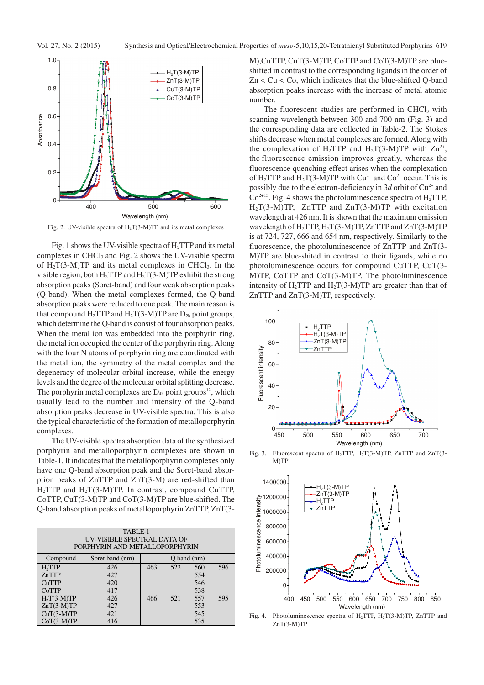

Fig. 2. UV-visible spectra of H2T(3-M)TP and its metal complexes

Fig. 1 shows the UV-visible spectra of  $H_2$ TTP and its metal complexes in CHCl<sub>3</sub> and Fig. 2 shows the UV-visible spectra of  $H_2T(3-M)TP$  and its metal complexes in CHCl<sub>3</sub>. In the visible region, both  $H_2$ TTP and  $H_2$ T(3-M)TP exhibit the strong absorption peaks (Soret-band) and four weak absorption peaks (Q-band). When the metal complexes formed, the Q-band absorption peaks were reduced to one peak. The main reason is that compound  $H_2TTP$  and  $H_2T(3-M)TP$  are  $D_{2h}$  point groups, which determine the Q-band is consist of four absorption peaks. When the metal ion was embedded into the porphyrin ring, the metal ion occupied the center of the porphyrin ring. Along with the four N atoms of porphyrin ring are coordinated with the metal ion, the symmetry of the metal complex and the degeneracy of molecular orbital increase, while the energy levels and the degree of the molecular orbital splitting decrease. The porphyrin metal complexes are  $D_{4h}$  point groups<sup>12</sup>, which usually lead to the number and intensity of the Q-band absorption peaks decrease in UV-visible spectra. This is also the typical characteristic of the formation of metalloporphyrin complexes.

The UV-visible spectra absorption data of the synthesized porphyrin and metalloporphyrin complexes are shown in Table-1. It indicates that the metalloporphyrin complexes only have one Q-band absorption peak and the Soret-band absorption peaks of ZnTTP and ZnT(3-M) are red-shifted than  $H_2$ TTP and  $H_2$ T(3-M)TP. In contrast, compound CuTTP, CoTTP, CuT(3-M)TP and CoT(3-M)TP are blue-shifted. The Q-band absorption peaks of metalloporphyrin ZnTTP, ZnT(3-

| TABLE-1<br>UV-VISIBLE SPECTRAL DATA OF<br>PORPHYRIN AND METALLOPORPHYRIN |                 |                        |     |     |     |
|--------------------------------------------------------------------------|-----------------|------------------------|-----|-----|-----|
| Compound                                                                 | Soret band (nm) | O <sub>band (nm)</sub> |     |     |     |
| H <sub>2</sub> TTP                                                       | 426             | 463                    | 522 | 560 | 596 |
| ZnTTP                                                                    | 427             |                        |     | 554 |     |
| CuTTP                                                                    | 420             |                        |     | 546 |     |
| CoTTP                                                                    | 417             |                        |     | 538 |     |
| $H2T(3-M)TP$                                                             | 426             | 466                    | 521 | 557 | 595 |
| $ZnT(3-M)TP$                                                             | 427             |                        |     | 553 |     |
| $CuT(3-M)TP$                                                             | 421             |                        |     | 545 |     |
| $CoT(3-M)TP$                                                             | 416             |                        |     | 535 |     |

M),CuTTP, CuT(3-M)TP, CoTTP and CoT(3-M)TP are blueshifted in contrast to the corresponding ligands in the order of  $Zn < Cu < Co$ , which indicates that the blue-shifted Q-band absorption peaks increase with the increase of metal atomic number.

The fluorescent studies are performed in CHCl<sub>3</sub> with scanning wavelength between 300 and 700 nm (Fig. 3) and the corresponding data are collected in Table-2. The Stokes shifts decrease when metal complexes are formed. Along with the complexation of H<sub>2</sub>TTP and H<sub>2</sub>T(3-M)TP with  $Zn^{2+}$ , the fluorescence emission improves greatly, whereas the fluorescence quenching effect arises when the complexation of H<sub>2</sub>TTP and H<sub>2</sub>T(3-M)TP with  $Cu^{2+}$  and  $Co^{2+}$  occur. This is possibly due to the electron-deficiency in 3*d* orbit of Cu<sup>2+</sup> and  $Co<sup>2+13</sup>$ . Fig. 4 shows the photoluminescence spectra of H<sub>2</sub>TTP,  $H_2T(3-M)TP$ , ZnTTP and ZnT(3-M)TP with excitation wavelength at 426 nm. It is shown that the maximum emission wavelength of H2TTP, H2T(3-M)TP, ZnTTP and ZnT(3-M)TP is at 724, 727, 666 and 654 nm, respectively. Similarly to the fluorescence, the photoluminescence of ZnTTP and ZnT(3- M)TP are blue-shited in contrast to their ligands, while no photoluminescence occurs for compound CuTTP, CuT(3- M)TP, CoTTP and CoT(3-M)TP. The photoluminescence intensity of H<sub>2</sub>TTP and H<sub>2</sub>T(3-M)TP are greater than that of ZnTTP and ZnT(3-M)TP, respectively.



Fig. 3. Fluorescent spectra of H<sub>2</sub>TTP, H<sub>2</sub>T(3-M)TP, ZnTTP and ZnT(3-M)TP



Fig. 4. Photoluminescence spectra of  $H_2$ TTP,  $H_2$ T(3-M)TP, ZnTTP and ZnT(3-M)TP